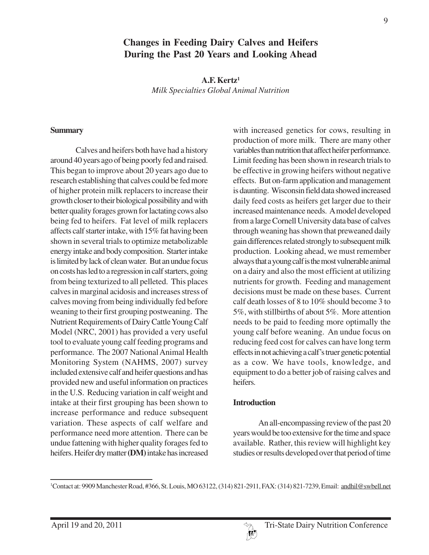# **Changes in Feeding Dairy Calves and Heifers During the Past 20 Years and Looking Ahead**

**A.F. Kertz1** *Milk Specialties Global Animal Nutrition*

#### **Summary**

Calves and heifers both have had a history around 40 years ago of being poorly fed and raised. This began to improve about 20 years ago due to research establishing that calves could be fed more of higher protein milk replacers to increase their growth closer to their biological possibility and with better quality forages grown for lactating cows also being fed to heifers. Fat level of milk replacers affects calf starter intake, with 15% fat having been shown in several trials to optimize metabolizable energy intake and body composition. Starter intake is limited by lack of clean water. But an undue focus on costs has led to a regression in calf starters, going from being texturized to all pelleted. This places calves in marginal acidosis and increases stress of calves moving from being individually fed before weaning to their first grouping postweaning. The Nutrient Requirements of Dairy Cattle Young Calf Model (NRC, 2001) has provided a very useful tool to evaluate young calf feeding programs and performance. The 2007 National Animal Health Monitoring System (NAHMS, 2007) survey included extensive calf and heifer questions and has provided new and useful information on practices in the U.S. Reducing variation in calf weight and intake at their first grouping has been shown to increase performance and reduce subsequent variation. These aspects of calf welfare and performance need more attention. There can be undue fattening with higher quality forages fed to heifers. Heifer dry matter **(DM)** intake has increased

with increased genetics for cows, resulting in production of more milk. There are many other variables than nutrition that affect heifer performance. Limit feeding has been shown in research trials to be effective in growing heifers without negative effects. But on-farm application and management is daunting. Wisconsin field data showed increased daily feed costs as heifers get larger due to their increased maintenance needs. A model developed from a large Cornell University data base of calves through weaning has shown that preweaned daily gain differences related strongly to subsequent milk production. Looking ahead, we must remember always that a young calf is the most vulnerable animal on a dairy and also the most efficient at utilizing nutrients for growth. Feeding and management decisions must be made on these bases. Current calf death losses of 8 to 10% should become 3 to 5%, with stillbirths of about 5%. More attention needs to be paid to feeding more optimally the young calf before weaning. An undue focus on reducing feed cost for calves can have long term effects in not achieving a calf's truer genetic potential as a cow. We have tools, knowledge, and equipment to do a better job of raising calves and heifers.

#### **Introduction**

An all-encompassing review of the past 20 years would be too extensive for the time and space available. Rather, this review will highlight key studies or results developed over that period of time

<sup>&</sup>lt;sup>1</sup>Contact at: 9909 Manchester Road, #366, St. Louis, MO 63122, (314) 821-2911, FAX: (314) 821-7239, Email: <u>andhil@swbell.net</u>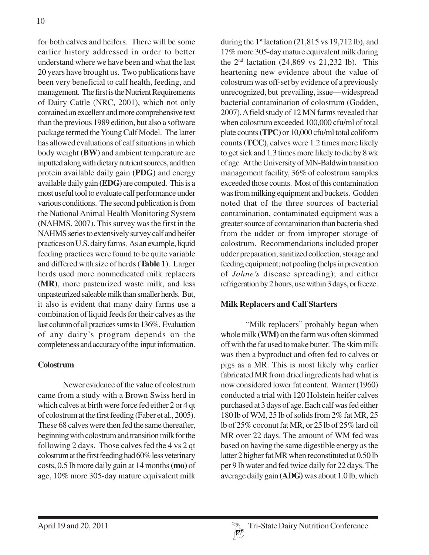for both calves and heifers. There will be some earlier history addressed in order to better understand where we have been and what the last 20 years have brought us. Two publications have been very beneficial to calf health, feeding, and management. The first is the Nutrient Requirements of Dairy Cattle (NRC, 2001), which not only contained an excellent and more comprehensive text than the previous 1989 edition, but also a software package termed the Young Calf Model. The latter has allowed evaluations of calf situations in which body weight **(BW)** and ambient temperature are inputted along with dietary nutrient sources, and then protein available daily gain **(PDG)** and energy available daily gain **(EDG)** are computed. This is a most useful tool to evaluate calf performance under various conditions. The second publication is from the National Animal Health Monitoring System (NAHMS, 2007). This survey was the first in the NAHMS series to extensively survey calf and heifer practices on U.S. dairy farms. As an example, liquid feeding practices were found to be quite variable and differed with size of herds (**Table 1**). Larger herds used more nonmedicated milk replacers **(MR)**, more pasteurized waste milk, and less unpasteurized saleable milk than smaller herds. But, it also is evident that many dairy farms use a combination of liquid feeds for their calves as the last column of all practices sums to 136%. Evaluation of any dairy's program depends on the completeness and accuracy of the input information.

# **Colostrum**

Newer evidence of the value of colostrum came from a study with a Brown Swiss herd in which calves at birth were force fed either 2 or 4 qt of colostrum at the first feeding (Faber et al., 2005). These 68 calves were then fed the same thereafter, beginning with colostrum and transition milk for the following 2 days. Those calves fed the 4 vs 2 qt colostrum at the first feeding had 60% less veterinary costs, 0.5 lb more daily gain at 14 months **(mo)** of age, 10% more 305-day mature equivalent milk

during the  $1<sup>st</sup>$  lactation (21,815 vs 19,712 lb), and 17% more 305-day mature equivalent milk during the  $2<sup>nd</sup>$  lactation (24,869 vs 21,232 lb). This heartening new evidence about the value of colostrum was off-set by evidence of a previously unrecognized, but prevailing, issue—widespread bacterial contamination of colostrum (Godden, 2007). A field study of 12 MN farms revealed that when colostrum exceeded 100,000 cfu/ml of total plate counts **(TPC)** or 10,000 cfu/ml total coliform counts **(TCC)**, calves were 1.2 times more likely to get sick and 1.3 times more likely to die by 8 wk of age At the University of MN-Baldwin transition management facility, 36% of colostrum samples exceeded those counts. Most of this contamination was from milking equipment and buckets. Godden noted that of the three sources of bacterial contamination, contaminated equipment was a greater source of contamination than bacteria shed from the udder or from improper storage of colostrum. Recommendations included proper udder preparation; sanitized collection, storage and feeding equipment; not pooling (helps in prevention of *Johne's* disease spreading); and either refrigeration by 2 hours, use within 3 days, or freeze.

# **Milk Replacers and Calf Starters**

"Milk replacers" probably began when whole milk **(WM)** on the farm was often skimmed off with the fat used to make butter. The skim milk was then a byproduct and often fed to calves or pigs as a MR. This is most likely why earlier fabricated MR from dried ingredients had what is now considered lower fat content. Warner (1960) conducted a trial with 120 Holstein heifer calves purchased at 3 days of age. Each calf was fed either 180 lb of WM, 25 lb of solids from 2% fat MR, 25 lb of 25% coconut fat MR, or 25 lb of 25% lard oil MR over 22 days. The amount of WM fed was based on having the same digestible energy as the latter 2 higher fat MR when reconstituted at 0.50 lb per 9 lb water and fed twice daily for 22 days. The average daily gain **(ADG)** was about 1.0 lb, which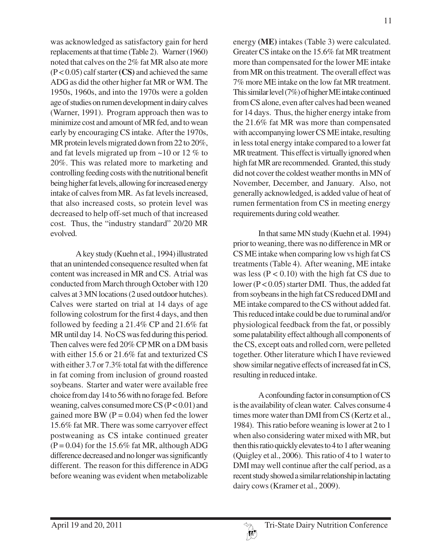was acknowledged as satisfactory gain for herd replacements at that time (Table 2). Warner (1960) noted that calves on the 2% fat MR also ate more (P < 0.05) calf starter **(CS)** and achieved the same ADG as did the other higher fat MR or WM. The 1950s, 1960s, and into the 1970s were a golden age of studies on rumen development in dairy calves (Warner, 1991). Program approach then was to minimize cost and amount of MR fed, and to wean early by encouraging CS intake. After the 1970s, MR protein levels migrated down from 22 to 20%, and fat levels migrated up from ~10 or 12 % to 20%. This was related more to marketing and controlling feeding costs with the nutritional benefit being higher fat levels, allowing for increased energy intake of calves from MR. As fat levels increased, that also increased costs, so protein level was decreased to help off-set much of that increased cost. Thus, the "industry standard" 20/20 MR evolved.

A key study (Kuehn et al., 1994) illustrated that an unintended consequence resulted when fat content was increased in MR and CS. A trial was conducted from March through October with 120 calves at 3 MN locations (2 used outdoor hutches). Calves were started on trial at 14 days of age following colostrum for the first 4 days, and then followed by feeding a 21.4% CP and 21.6% fat MR until day 14. No CS was fed during this period. Then calves were fed 20% CP MR on a DM basis with either 15.6 or 21.6% fat and texturized CS with either 3.7 or 7.3% total fat with the difference in fat coming from inclusion of ground roasted soybeans. Starter and water were available free choice from day 14 to 56 with no forage fed. Before weaning, calves consumed more  $CS(P<0.01)$  and gained more BW ( $P = 0.04$ ) when fed the lower 15.6% fat MR. There was some carryover effect postweaning as CS intake continued greater  $(P = 0.04)$  for the 15.6% fat MR, although ADG difference decreased and no longer was significantly different. The reason for this difference in ADG before weaning was evident when metabolizable

energy **(ME)** intakes (Table 3) were calculated. Greater CS intake on the 15.6% fat MR treatment more than compensated for the lower ME intake from MR on this treatment. The overall effect was 7% more ME intake on the low fat MR treatment. This similar level (7%) of higher ME intake continued from CS alone, even after calves had been weaned for 14 days. Thus, the higher energy intake from the 21.6% fat MR was more than compensated with accompanying lower CS ME intake, resulting in less total energy intake compared to a lower fat MR treatment. This effect is virtually ignored when high fat MR are recommended. Granted, this study did not cover the coldest weather months in MN of November, December, and January. Also, not generally acknowledged, is added value of heat of rumen fermentation from CS in meeting energy requirements during cold weather.

In that same MN study (Kuehn et al. 1994) prior to weaning, there was no difference in MR or CS ME intake when comparing low vs high fat CS treatments (Table 4). After weaning, ME intake was less ( $P < 0.10$ ) with the high fat CS due to lower (P < 0.05) starter DMI. Thus, the added fat from soybeans in the high fat CS reduced DMI and ME intake compared to the CS without added fat. This reduced intake could be due to ruminal and/or physiological feedback from the fat, or possibly some palatability effect although all components of the CS, except oats and rolled corn, were pelleted together. Other literature which I have reviewed show similar negative effects of increased fat in CS, resulting in reduced intake.

A confounding factor in consumption of CS is the availability of clean water. Calves consume 4 times more water than DMI from CS (Kertz et al., 1984). This ratio before weaning is lower at 2 to 1 when also considering water mixed with MR, but then this ratio quickly elevates to 4 to 1 after weaning (Quigley et al., 2006). This ratio of 4 to 1 water to DMI may well continue after the calf period, as a recent study showed a similar relationship in lactating dairy cows (Kramer et al., 2009).

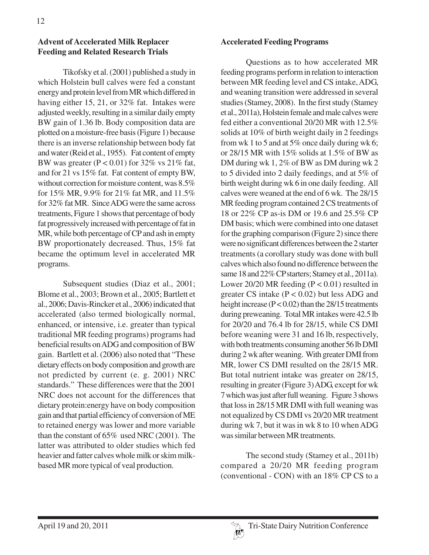# **Advent of Accelerated Milk Replacer Feeding and Related Research Trials**

Tikofsky et al. (2001) published a study in which Holstein bull calves were fed a constant energy and protein level from MR which differed in having either 15, 21, or 32% fat. Intakes were adjusted weekly, resulting in a similar daily empty BW gain of 1.36 lb. Body composition data are plotted on a moisture-free basis (Figure 1) because there is an inverse relationship between body fat and water (Reid et al., 1955). Fat content of empty BW was greater ( $P < 0.01$ ) for 32% vs 21% fat, and for 21 vs 15% fat. Fat content of empty BW, without correction for moisture content, was 8.5% for 15% MR, 9.9% for 21% fat MR, and 11.5% for 32% fat MR. Since ADG were the same across treatments, Figure 1 shows that percentage of body fat progressively increased with percentage of fat in MR, while both percentage of CP and ash in empty BW proportionately decreased. Thus, 15% fat became the optimum level in accelerated MR programs.

Subsequent studies (Diaz et al., 2001; Blome et al., 2003; Brown et al., 2005; Bartlett et al., 2006; Davis-Rincker et al., 2006) indicated that accelerated (also termed biologically normal, enhanced, or intensive, i.e. greater than typical traditional MR feeding programs) programs had beneficial results on ADG and composition of BW gain. Bartlett et al. (2006) also noted that "These dietary effects on body composition and growth are not predicted by current (e. g. 2001) NRC standards." These differences were that the 2001 NRC does not account for the differences that dietary protein:energy have on body composition gain and that partial efficiency of conversion of ME to retained energy was lower and more variable than the constant of 65% used NRC (2001). The latter was attributed to older studies which fed heavier and fatter calves whole milk or skim milkbased MR more typical of veal production.

### **Accelerated Feeding Programs**

Questions as to how accelerated MR feeding programs perform in relation to interaction between MR feeding level and CS intake, ADG, and weaning transition were addressed in several studies (Stamey, 2008). In the first study (Stamey et al., 2011a), Holstein female and male calves were fed either a conventional 20/20 MR with 12.5% solids at 10% of birth weight daily in 2 feedings from wk 1 to 5 and at 5% once daily during wk 6; or 28/15 MR with 15% solids at 1.5% of BW as DM during wk 1, 2% of BW as DM during wk 2 to 5 divided into 2 daily feedings, and at 5% of birth weight during wk 6 in one daily feeding. All calves were weaned at the end of 6 wk. The 28/15 MR feeding program contained 2 CS treatments of 18 or 22% CP as-is DM or 19.6 and 25.5% CP DM basis; which were combined into one dataset for the graphing comparison (Figure 2) since there were no significant differences between the 2 starter treatments (a corollary study was done with bull calves which also found no difference between the same 18 and 22% CP starters; Stamey et al., 2011a). Lower 20/20 MR feeding  $(P < 0.01)$  resulted in greater CS intake  $(P < 0.02)$  but less ADG and height increase  $(P < 0.02)$  than the 28/15 treatments during preweaning. Total MR intakes were 42.5 lb for 20/20 and 76.4 lb for 28/15, while CS DMI before weaning were 31 and 16 lb, respectively, with both treatments consuming another 56 lb DMI during 2 wk after weaning. With greater DMI from MR, lower CS DMI resulted on the 28/15 MR. But total nutrient intake was greater on 28/15, resulting in greater (Figure 3) ADG, except for wk 7 which was just after full weaning. Figure 3 shows that loss in 28/15 MR DMI with full weaning was not equalized by CS DMI vs 20/20 MR treatment during wk 7, but it was in wk 8 to 10 when ADG was similar between MR treatments.

The second study (Stamey et al., 2011b) compared a 20/20 MR feeding program (conventional - CON) with an 18% CP CS to a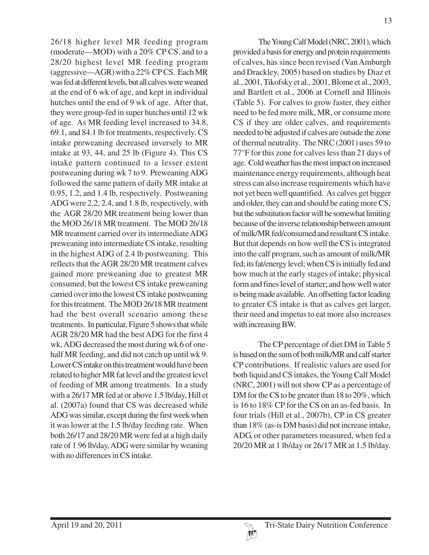26/18 higher level MR feeding program (moderate—MOD) with a 20% CP CS, and to a 28/20 highest level MR feeding program (aggressive—AGR) with a 22% CP CS. Each MR was fed at different levels, but all calves were weaned at the end of 6 wk of age, and kept in individual hutches until the end of 9 wk of age. After that, they were group-fed in super hutches until 12 wk of age. As MR feeding level increased to 34.8, 69.1, and 84.1 lb for treatments, respectively, CS intake preweaning decreased inversely to MR intake at 93, 44, and 25 lb (Figure 4). This CS intake pattern continued to a lesser extent postweaning during wk 7 to 9. Preweaning ADG followed the same pattern of daily MR intake at 0.95, 1.2, and 1.4 lb, respectively. Postweaning ADG were 2.2, 2.4, and 1.8 lb, respectively, with the AGR 28/20 MR treatment being lower than the MOD 26/18 MR treatment. The MOD 26/18 MR treatment carried over its intermediate ADG preweaning into intermediate CS intake, resulting in the highest ADG of 2.4 lb postweaning. This reflects that the AGR 28/20 MR treatment calves gained more preweaning due to greatest MR consumed, but the lowest CS intake preweaning carried over into the lowest CS intake postweaning for this treatment. The MOD 26/18 MR treatment had the best overall scenario among these treatments.In particular, Figure 5shows that while AGR 28/20 MR had the best ADG for the first 4 wk, ADG decreased the most during wk 6 of onehalf MR feeding, and did not catch up until wk 9. Lower CS intake on this treatment would have been related to higher MR fat level and the greatest level of feeding of MR among treatments. In a study with a 26/17 MR fed at or above 1.5 lb/day, Hill et al. (2007a) found that CS was decreased while ADG was similar, except during the first week when it was lower at the 1.5 lb/day feeding rate. When both 26/17 and 28/20 MR were fed at a high daily rate of 1.96 lb/day, ADG were similar by weaning with no differences in CS intake.

The Young Calf Model (NRC, 2001), which provided a basis for energy and protein requirements of calves, has since been revised (Van Amburgh and Drackley, 2005) based on studies by Diaz et al., 2001, Tikofsky et al., 2001, Blome et al., 2003, and Bartlett et al., 2006 at Cornell and Illinois (Table 5). For calves to grow faster, they either need to be fed more milk, MR, or consume more CS if they are older calves, and requirements needed to be adjusted if calves are outside the zone of thermal neutrality. The NRC (2001) uses 59 to 77°F for this zone for calves less than 21 days of age. Cold weather has the most impact on increased maintenance energy requirements, although heat stress can also increase requirements which have not yet been well quantified. As calves get bigger and older, they can and should be eating more CS, but the substitution factor will be somewhat limiting because of the inverse relationship between amount of milk/MR fed/consumed and resultant CS intake. But that depends on how well the CS is integrated into the calf program, such as amount of milk/MR fed; its fat/energy level; when CS is initially fed and how much at the early stages of intake; physical form and fines level of starter; and how well water is being made available. An offsetting factor leading to greater CS intake is that as calves get larger, their need and impetus to eat more also increases with increasing BW.

The CP percentage of diet DM in Table 5 is based on the sum of both milk/MR and calf starter CP contributions. If realistic values are used for both liquid and CS intakes, the Young Calf Model (NRC, 2001) will not show CP as a percentage of DM for the CS to be greater than 18 to 20%, which is 16 to 18% CP for the CS on an as-fed basis. In four trials (Hill et al., 2007b), CP in CS greater than 18% (as-is DM basis) did not increase intake, ADG, or other parameters measured, when fed a 20/20 MR at 1 lb/day or 26/17 MR at 1.5 lb/day.

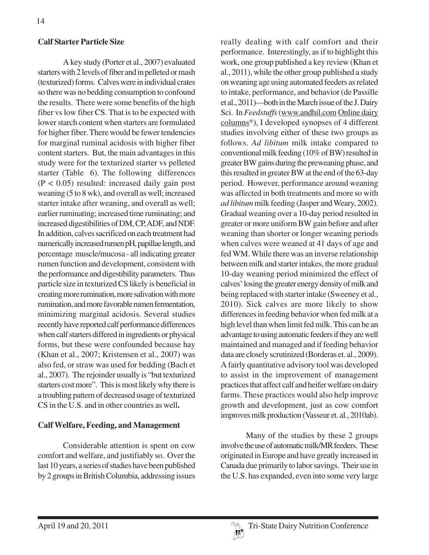## **Calf Starter Particle Size**

A key study (Porter et al., 2007) evaluated starters with 2 levels of fiber and in pelleted or mash (texturized) forms. Calves were in individual crates so there was no bedding consumption to confound the results. There were some benefits of the high fiber vs low fiber CS. That is to be expected with lower starch content when starters are formulated for higher fiber. There would be fewer tendencies for marginal ruminal acidosis with higher fiber content starters. But, the main advantages in this study were for the texturized starter vs pelleted starter (Table 6). The following differences  $(P < 0.05)$  resulted: increased daily gain post weaning (5 to 8 wk), and overall as well; increased starter intake after weaning, and overall as well; earlier ruminating; increased time ruminating; and increased digestibilities of DM, CP, ADF, and NDF. In addition, calves sacrificed on each treatment had numerically increased rumen pH, papillae length, and percentage muscle/mucosa - all indicating greater rumen function and development, consistent with the performance and digestibility parameters. Thus particle size in texturized CS likely is beneficial in creating more rumination, more salivation with more rumination, and more favorable rumen fermentation, minimizing marginal acidosis. Several studies recently have reported calf performance differences when calf starters differed in ingredients or physical forms, but these were confounded because hay (Khan et al., 2007; Kristensen et al., 2007) was also fed, or straw was used for bedding (Bach et al., 2007). The rejoinder usually is "but texturized starters cost more". This is most likely why there is a troubling pattern of decreased usage of texturized CS in the U.S. and in other countries as well**.**

### **Calf Welfare, Feeding, and Management**

Considerable attention is spent on cow comfort and welfare, and justifiably so. Over the last 10 years, a series of studies have been published by 2 groups in British Columbia, addressing issues

really dealing with calf comfort and their performance. Interestingly, as if to highlight this work, one group published a key review (Khan et al., 2011), while the other group published a study on weaning age using automated feeders as related to intake, performance, and behavior (de Passille et al., 2011)—both in the March issue of the J. Dairy Sci. In *Feedstuffs* (www.andhil.com Online dairy columns\*), I developed synopses of 4 different studies involving either of these two groups as follows. *Ad libitum* milk intake compared to conventional milk feeding (10% of BW) resulted in greater BW gains during the preweaning phase, and this resulted in greater BW at the end of the 63-day period. However, performance around weaning was affected in both treatments and more so with *ad libitum* milk feeding (Jasper and Weary, 2002). Gradual weaning over a 10-day period resulted in greater or more uniform BW gain before and after weaning than shorter or longer weaning periods when calves were weaned at 41 days of age and fed WM. While there was an inverse relationship between milk and starter intakes, the more gradual 10-day weaning period minimized the effect of calves' losing the greater energy density of milk and being replaced with starter intake (Sweeney et al., 2010). Sick calves are more likely to show differences in feeding behavior when fed milk at a high level than when limit fed milk. This can be an advantage to using automatic feeders if they are well maintained and managed and if feeding behavior data are closely scrutinized (Borderas et. al., 2009). A fairly quantitative advisory tool was developed to assist in the improvement of management practices that affect calf and heifer welfare on dairy farms. These practices would also help improve growth and development, just as cow comfort improves milk production (Vasseur et. al., 2010ab).

Many of the studies by these 2 groups involve the use of automatic milk/MR feeders. These originated in Europe and have greatly increased in Canada due primarily to labor savings. Their use in the U.S. has expanded, even into some very large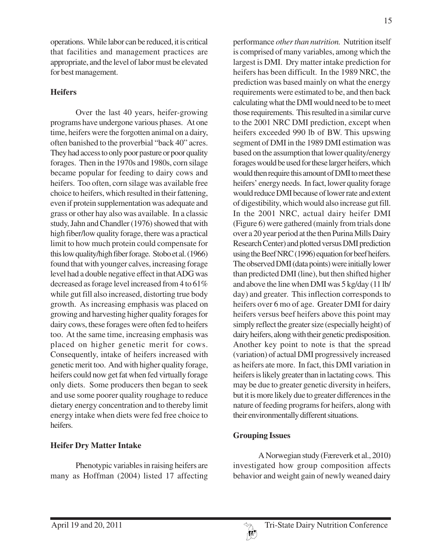operations. While labor can be reduced, it is critical that facilities and management practices are appropriate, and the level of labor must be elevated for best management.

## **Heifers**

Over the last 40 years, heifer-growing programs have undergone various phases. At one time, heifers were the forgotten animal on a dairy, often banished to the proverbial "back 40" acres. They had access to only poor pasture or poor quality forages. Then in the 1970s and 1980s, corn silage became popular for feeding to dairy cows and heifers. Too often, corn silage was available free choice to heifers, which resulted in their fattening, even if protein supplementation was adequate and grass or other hay also was available. In a classic study, Jahn and Chandler (1976) showed that with high fiber/low quality forage, there was a practical limit to how much protein could compensate for this low quality/high fiber forage. Stobo et al. (1966) found that with younger calves, increasing forage level had a double negative effect in that ADG was decreased as forage level increased from 4 to 61% while gut fill also increased, distorting true body growth. As increasing emphasis was placed on growing and harvesting higher quality forages for dairy cows, these forages were often fed to heifers too. At the same time, increasing emphasis was placed on higher genetic merit for cows. Consequently, intake of heifers increased with genetic merit too. And with higher quality forage, heifers could now get fat when fed virtually forage only diets. Some producers then began to seek and use some poorer quality roughage to reduce dietary energy concentration and to thereby limit energy intake when diets were fed free choice to heifers.

# **Heifer Dry Matter Intake**

Phenotypic variables in raising heifers are many as Hoffman (2004) listed 17 affecting performance *other than nutrition.* Nutrition itself is comprised of many variables, among which the largest is DMI. Dry matter intake prediction for heifers has been difficult. In the 1989 NRC, the prediction was based mainly on what the energy requirements were estimated to be, and then back calculating what the DMI would need to be to meet those requirements. This resulted in a similar curve to the 2001 NRC DMI prediction, except when heifers exceeded 990 lb of BW. This upswing segment of DMI in the 1989 DMI estimation was based on the assumption that lower quality/energy forages would be used for these larger heifers, which would then require this amount of DMI to meet these heifers' energy needs. In fact, lower quality forage would reduce DMI because of lower rate and extent of digestibility, which would also increase gut fill. In the 2001 NRC, actual dairy heifer DMI (Figure 6) were gathered (mainly from trials done over a 20 year period at the then Purina Mills Dairy Research Center) and plotted versus DMI prediction using the Beef NRC (1996) equation for beef heifers. The observed DMI (data points) were initially lower than predicted DMI (line), but then shifted higher and above the line when DMI was 5 kg/day (11 lb/ day) and greater. This inflection corresponds to heifers over 6 mo of age. Greater DMI for dairy heifers versus beef heifers above this point may simply reflect the greater size (especially height) of dairy heifers, along with their genetic predisposition. Another key point to note is that the spread (variation) of actual DMI progressively increased as heifers ate more. In fact, this DMI variation in heifers is likely greater than in lactating cows. This may be due to greater genetic diversity in heifers, but it is more likely due to greater differences in the nature of feeding programs for heifers, along with their environmentally different situations.

# **Grouping Issues**

A Norwegian study (Færeverk et al., 2010) investigated how group composition affects behavior and weight gain of newly weaned dairy

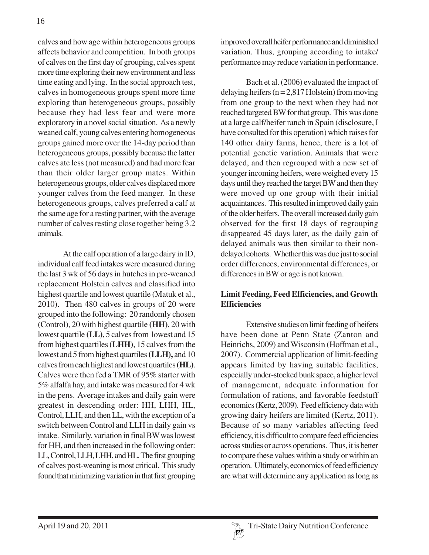calves and how age within heterogeneous groups affects behavior and competition. In both groups of calves on the first day of grouping, calves spent more time exploring their new environment and less time eating and lying. In the social approach test, calves in homogeneous groups spent more time exploring than heterogeneous groups, possibly because they had less fear and were more exploratory in a novel social situation. As a newly weaned calf, young calves entering homogeneous groups gained more over the 14-day period than heterogeneous groups, possibly because the latter calves ate less (not measured) and had more fear than their older larger group mates. Within heterogeneous groups, older calves displaced more younger calves from the feed manger. In these heterogeneous groups, calves preferred a calf at the same age for a resting partner, with the average number of calves resting close together being 3.2 animals.

At the calf operation of a large dairy in ID, individual calf feed intakes were measured during the last 3 wk of 56 days in hutches in pre-weaned replacement Holstein calves and classified into highest quartile and lowest quartile (Matuk et al., 2010). Then 480 calves in groups of 20 were grouped into the following: 20 randomly chosen (Control), 20 with highest quartile **(HH)**, 20 with lowest quartile **(LL)**, 5 calves from lowest and 15 from highest quartiles **(LHH)**, 15 calves from the lowest and 5 from highest quartiles **(LLH),** and 10 calves from each highest and lowest quartiles **(HL)**. Calves were then fed a TMR of 95% starter with 5% alfalfa hay, and intake was measured for 4 wk in the pens. Average intakes and daily gain were greatest in descending order: HH, LHH, HL, Control, LLH, and then LL, with the exception of a switch between Control and LLH in daily gain vs intake. Similarly, variation in final BW was lowest for HH, and then increased in the following order: LL, Control, LLH, LHH, and HL. The first grouping of calves post-weaning is most critical. This study found that minimizing variation in that first grouping

improved overall heifer performance and diminished variation. Thus, grouping according to intake/ performance may reduce variation in performance.

Bach et al. (2006) evaluated the impact of delaying heifers ( $n = 2,817$  Holstein) from moving from one group to the next when they had not reached targeted BW for that group. This was done at a large calf/heifer ranch in Spain (disclosure, I have consulted for this operation) which raises for 140 other dairy farms, hence, there is a lot of potential genetic variation. Animals that were delayed, and then regrouped with a new set of younger incoming heifers, were weighed every 15 days until they reached the target BW and then they were moved up one group with their initial acquaintances. This resulted in improved daily gain of the older heifers. The overall increased daily gain observed for the first 18 days of regrouping disappeared 45 days later, as the daily gain of delayed animals was then similar to their nondelayed cohorts. Whether this was due just to social order differences, environmental differences, or differences in BW or age is not known.

# **Limit Feeding, Feed Efficiencies, and Growth Efficiencies**

Extensive studies on limit feeding of heifers have been done at Penn State (Zanton and Heinrichs, 2009) and Wisconsin (Hoffman et al., 2007). Commercial application of limit-feeding appears limited by having suitable facilities, especially under-stocked bunk space, a higher level of management, adequate information for formulation of rations, and favorable feedstuff economics (Kertz, 2009). Feed efficiency data with growing dairy heifers are limited (Kertz, 2011). Because of so many variables affecting feed efficiency, it is difficult to compare feed efficiencies across studies or across operations. Thus, it is better to compare these values within a study or within an operation. Ultimately, economics of feed efficiency are what will determine any application as long as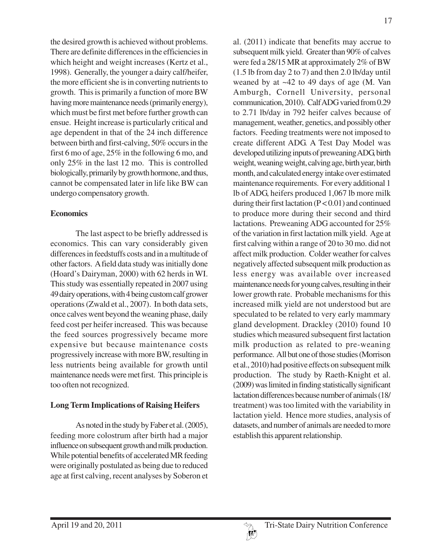the desired growth is achieved without problems. There are definite differences in the efficiencies in which height and weight increases (Kertz et al., 1998). Generally, the younger a dairy calf/heifer, the more efficient she is in converting nutrients to growth. This is primarily a function of more BW having more maintenance needs (primarily energy), which must be first met before further growth can ensue. Height increase is particularly critical and age dependent in that of the 24 inch difference between birth and first-calving, 50% occurs in the first 6 mo of age, 25% in the following 6 mo, and only 25% in the last 12 mo. This is controlled biologically, primarily by growth hormone, and thus, cannot be compensated later in life like BW can undergo compensatory growth.

## **Economics**

The last aspect to be briefly addressed is economics. This can vary considerably given differences in feedstuffs costs and in a multitude of other factors. A field data study was initially done (Hoard's Dairyman, 2000) with 62 herds in WI. This study was essentially repeated in 2007 using 49 dairy operations, with 4 being custom calf grower operations (Zwald et al., 2007). In both data sets, once calves went beyond the weaning phase, daily feed cost per heifer increased. This was because the feed sources progressively became more expensive but because maintenance costs progressively increase with more BW, resulting in less nutrients being available for growth until maintenance needs were met first. This principle is too often not recognized.

# **Long Term Implications of Raising Heifers**

As noted in the study by Faber et al. (2005), feeding more colostrum after birth had a major influence on subsequent growth and milk production. While potential benefits of accelerated MR feeding were originally postulated as being due to reduced age at first calving, recent analyses by Soberon et



al. (2011) indicate that benefits may accrue to subsequent milk yield. Greater than 90% of calves were fed a 28/15 MR at approximately 2% of BW (1.5 lb from day 2 to 7) and then 2.0 lb/day until weaned by at ~42 to 49 days of age (M. Van Amburgh, Cornell University, personal communication, 2010). Calf ADG varied from 0.29 to 2.71 lb/day in 792 heifer calves because of management, weather, genetics, and possibly other factors. Feeding treatments were not imposed to create different ADG. A Test Day Model was developed utilizing inputs of preweaning ADG, birth weight, weaning weight, calving age, birth year, birth month, and calculated energy intake over estimated maintenance requirements. For every additional 1 lb of ADG, heifers produced 1,067 lb more milk during their first lactation (P < 0.01) and continued to produce more during their second and third lactations. Preweaning ADG accounted for 25% of the variation in first lactation milk yield. Age at first calving within a range of 20 to 30 mo. did not affect milk production. Colder weather for calves negatively affected subsequent milk production as less energy was available over increased maintenance needs for young calves, resulting in their lower growth rate. Probable mechanisms for this increased milk yield are not understood but are speculated to be related to very early mammary gland development. Drackley (2010) found 10 studies which measured subsequent first lactation milk production as related to pre-weaning performance. All but one of those studies (Morrison et al., 2010) had positive effects on subsequent milk production. The study by Raeth-Knight et al. (2009) was limited in finding statistically significant lactation differences because number of animals (18/ treatment) was too limited with the variability in lactation yield. Hence more studies, analysis of datasets, and number of animals are needed to more establish this apparent relationship.

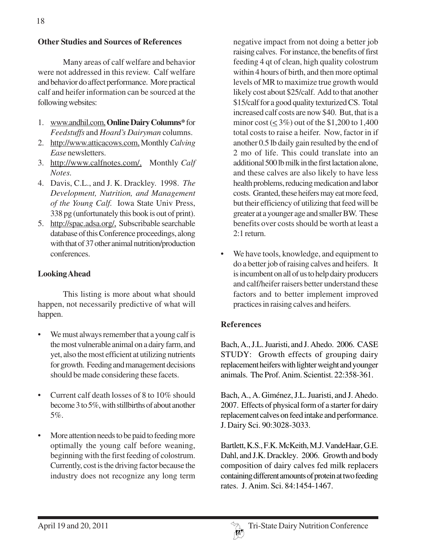### **Other Studies and Sources of References**

Many areas of calf welfare and behavior were not addressed in this review. Calf welfare and behavior do affect performance. More practical calf and heifer information can be sourced at the following websites:

- 1. www.andhil.com, **Online Dairy Columns\*** for *Feedstuffs* and *Hoard's Dairyman* columns.
- 2. http://www.atticacows.com, Monthly *Calving Ease* newsletters.
- 3. http://www.calfnotes.com/, Monthly *Calf Notes.*
- 4. Davis, C.L., and J. K. Drackley. 1998. *The Development, Nutrition, and Management of the Young Calf.* Iowa State Univ Press, 338 pg (unfortunately this book is out of print).
- 5. http://spac.adsa.org/, Subscribable searchable database of this Conference proceedings, along with that of 37 other animal nutrition/production conferences.

## **Looking Ahead**

This listing is more about what should happen, not necessarily predictive of what will happen.

- We must always remember that a young calf is the most vulnerable animal on a dairy farm, and yet, also the most efficient at utilizing nutrients for growth. Feeding and management decisions should be made considering these facets.
- Current calf death losses of 8 to 10% should become 3 to 5%, with stillbirths of about another 5%.
- More attention needs to be paid to feeding more optimally the young calf before weaning, beginning with the first feeding of colostrum. Currently, cost is the driving factor because the industry does not recognize any long term

negative impact from not doing a better job raising calves. For instance, the benefits of first feeding 4 qt of clean, high quality colostrum within 4 hours of birth, and then more optimal levels of MR to maximize true growth would likely cost about \$25/calf. Add to that another \$15/calf for a good quality texturized CS. Total increased calf costs are now \$40. But, that is a minor cost  $( $3\%$ ) out of the $1,200 to 1,400$ total costs to raise a heifer. Now, factor in if another 0.5 lb daily gain resulted by the end of 2 mo of life. This could translate into an additional 500 lb milk in the first lactation alone, and these calves are also likely to have less health problems, reducing medication and labor costs. Granted, these heifers may eat more feed, but their efficiency of utilizing that feed will be greater at a younger age and smaller BW. These benefits over costs should be worth at least a 2:1 return.

We have tools, knowledge, and equipment to do a better job of raising calves and heifers. It is incumbent on all of us to help dairy producers and calf/heifer raisers better understand these factors and to better implement improved practices in raising calves and heifers.

### **References**

Bach, A., J.L. Juaristi, and J. Ahedo. 2006. CASE STUDY: Growth effects of grouping dairy replacement heifers with lighter weight and younger animals. The Prof. Anim. Scientist. 22:358-361.

Bach, A., A. Giménez, J.L. Juaristi, and J. Ahedo. 2007. Effects of physical form of a starter for dairy replacement calves on feed intake and performance. J. Dairy Sci. 90:3028-3033.

Bartlett, K.S., F.K. McKeith, M.J. VandeHaar, G.E. Dahl, and J.K. Drackley. 2006. Growth and body composition of dairy calves fed milk replacers containing different amounts of protein at two feeding rates. J. Anim. Sci. 84:1454-1467.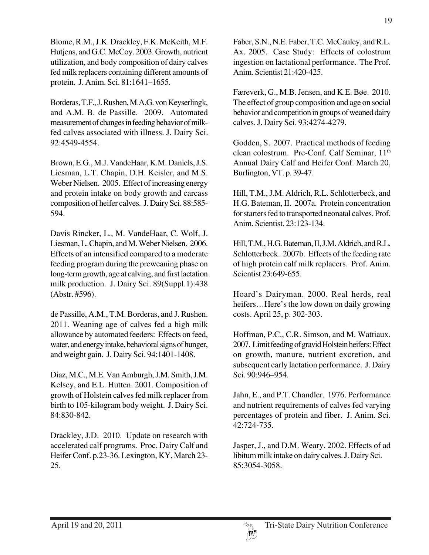Blome, R.M., J.K. Drackley, F.K. McKeith, M.F. Hutjens, and G.C. McCoy. 2003. Growth, nutrient utilization, and body composition of dairy calves fed milk replacers containing different amounts of protein. J. Anim. Sci. 81:1641–1655.

Borderas, T.F., J. Rushen, M.A.G. von Keyserlingk, and A.M. B. de Passille. 2009. Automated measurement of changes in feeding behavior of milkfed calves associated with illness. J. Dairy Sci. 92:4549-4554.

Brown, E.G., M.J. VandeHaar, K.M. Daniels, J.S. Liesman, L.T. Chapin, D.H. Keisler, and M.S. Weber Nielsen. 2005. Effect of increasing energy and protein intake on body growth and carcass composition of heifer calves. J. Dairy Sci. 88:585- 594.

Davis Rincker, L., M. VandeHaar, C. Wolf, J. Liesman, L. Chapin, and M. Weber Nielsen. 2006. Effects of an intensified compared to a moderate feeding program during the preweaning phase on long-term growth, age at calving, and first lactation milk production. J. Dairy Sci. 89(Suppl.1):438 (Abstr. #596).

de Passille, A.M., T.M. Borderas, and J. Rushen. 2011. Weaning age of calves fed a high milk allowance by automated feeders: Effects on feed, water, and energy intake, behavioral signs of hunger, and weight gain. J. Dairy Sci. 94:1401-1408.

Diaz, M.C., M.E. Van Amburgh, J.M. Smith, J.M. Kelsey, and E.L. Hutten. 2001. Composition of growth of Holstein calves fed milk replacer from birth to 105-kilogram body weight. J. Dairy Sci. 84:830-842.

Drackley, J.D. 2010. Update on research with accelerated calf programs. Proc. Dairy Calf and Heifer Conf. p.23-36. Lexington, KY, March 23- 25.

Faber, S.N., N.E. Faber, T.C. McCauley, and R.L. Ax. 2005. Case Study: Effects of colostrum ingestion on lactational performance. The Prof. Anim. Scientist 21:420-425.

Færeverk, G., M.B. Jensen, and K.E. Bøe. 2010. The effect of group composition and age on social behavior and competition in groups of weaned dairy calves. J. Dairy Sci. 93:4274-4279.

Godden, S. 2007. Practical methods of feeding clean colostrum. Pre-Conf. Calf Seminar, 11th Annual Dairy Calf and Heifer Conf. March 20, Burlington, VT. p. 39-47.

Hill, T.M., J.M. Aldrich, R.L. Schlotterbeck, and H.G. Bateman, II. 2007a. Protein concentration for starters fed to transported neonatal calves. Prof. Anim. Scientist. 23:123-134.

Hill, T.M., H.G. Bateman, II, J.M. Aldrich, and R.L. Schlotterbeck. 2007b. Effects of the feeding rate of high protein calf milk replacers. Prof. Anim. Scientist 23:649-655.

Hoard's Dairyman. 2000. Real herds, real heifers…Here's the low down on daily growing costs. April 25, p. 302-303.

Hoffman, P.C., C.R. Simson, and M. Wattiaux. 2007. Limit feeding of gravid Holstein heifers: Effect on growth, manure, nutrient excretion, and subsequent early lactation performance. J. Dairy Sci. 90:946–954.

Jahn, E., and P.T. Chandler. 1976. Performance and nutrient requirements of calves fed varying percentages of protein and fiber. J. Anim. Sci. 42:724-735.

Jasper, J., and D.M. Weary. 2002. Effects of ad libitum milk intake on dairy calves. J. Dairy Sci. 85:3054-3058.

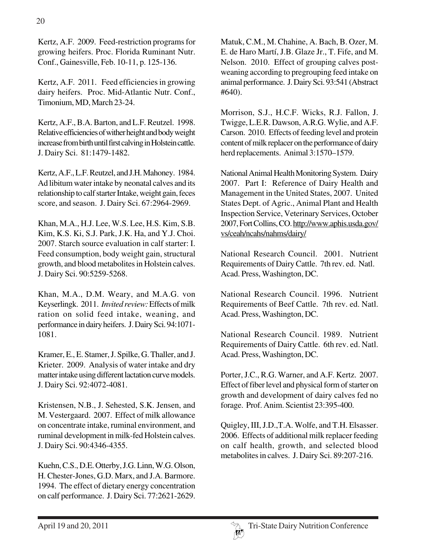Kertz, A.F. 2009. Feed-restriction programs for growing heifers. Proc. Florida Ruminant Nutr. Conf., Gainesville, Feb. 10-11, p. 125-136.

Kertz, A.F. 2011. Feed efficiencies in growing dairy heifers. Proc. Mid-Atlantic Nutr. Conf., Timonium, MD, March 23-24.

Kertz, A.F., B.A. Barton, and L.F. Reutzel. 1998. Relative efficiencies of wither height and body weight increase from birth until first calving in Holstein cattle. J. Dairy Sci. 81:1479-1482.

Kertz, A.F., L.F. Reutzel, and J.H. Mahoney. 1984. Ad libitum water intake by neonatal calves and its relationship to calf starter Intake, weight gain, feces score, and season. J. Dairy Sci. 67:2964-2969.

Khan, M.A., H.J. Lee, W.S. Lee, H.S. Kim, S.B. Kim, K.S. Ki, S.J. Park, J.K. Ha, and Y.J. Choi. 2007. Starch source evaluation in calf starter: I. Feed consumption, body weight gain, structural growth, and blood metabolites in Holstein calves. J. Dairy Sci. 90:5259-5268.

Khan, M.A., D.M. Weary, and M.A.G. von Keyserlingk. 2011. *Invited review:* Effects of milk ration on solid feed intake, weaning, and performance in dairy heifers. J. Dairy Sci. 94:1071- 1081.

Kramer, E., E. Stamer, J. Spilke, G. Thaller, and J. Krieter. 2009. Analysis of water intake and dry matter intake using different lactation curve models. J. Dairy Sci. 92:4072-4081.

Kristensen, N.B., J. Sehested, S.K. Jensen, and M. Vestergaard. 2007. Effect of milk allowance on concentrate intake, ruminal environment, and ruminal development in milk-fed Holstein calves. J. Dairy Sci. 90:4346-4355.

Kuehn, C.S., D.E. Otterby, J.G. Linn, W.G. Olson, H. Chester-Jones, G.D. Marx, and J.A. Barmore. 1994. The effect of dietary energy concentration on calf performance. J. Dairy Sci. 77:2621-2629.

Matuk, C.M., M. Chahine, A. Bach, B. Ozer, M. E. de Haro Martí, J.B. Glaze Jr., T. Fife, and M. Nelson. 2010. Effect of grouping calves postweaning according to pregrouping feed intake on animal performance. J. Dairy Sci. 93:541 (Abstract #640).

Morrison, S.J., H.C.F. Wicks, R.J. Fallon, J. Twigge, L.E.R. Dawson, A.R.G. Wylie, and A.F. Carson. 2010. Effects of feeding level and protein content of milk replacer on the performance of dairy herd replacements. Animal 3:1570–1579.

National Animal Health Monitoring System. Dairy 2007. Part I: Reference of Dairy Health and Management in the United States, 2007. United States Dept. of Agric., Animal Plant and Health Inspection Service, Veterinary Services, October 2007, Fort Collins, CO. http://www.aphis.usda.gov/ vs/ceah/ncahs/nahms/dairy/

National Research Council. 2001. Nutrient Requirements of Dairy Cattle. 7th rev. ed. Natl. Acad. Press, Washington, DC.

National Research Council. 1996. Nutrient Requirements of Beef Cattle. 7th rev. ed. Natl. Acad. Press, Washington, DC.

National Research Council. 1989. Nutrient Requirements of Dairy Cattle. 6th rev. ed. Natl. Acad. Press, Washington, DC.

Porter, J.C., R.G. Warner, and A.F. Kertz. 2007. Effect of fiber level and physical form of starter on growth and development of dairy calves fed no forage. Prof. Anim. Scientist 23:395-400.

Quigley, III, J.D.,T.A. Wolfe, and T.H. Elsasser. 2006. Effects of additional milk replacer feeding on calf health, growth, and selected blood metabolites in calves. J. Dairy Sci. 89:207-216.

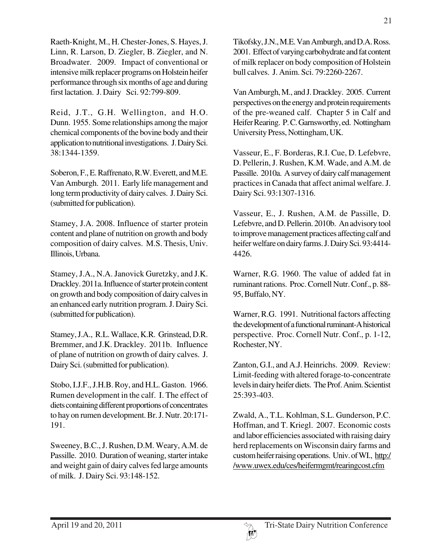Raeth-Knight, M., H. Chester-Jones, S. Hayes, J. Linn, R. Larson, D. Ziegler, B. Ziegler, and N. Broadwater. 2009. Impact of conventional or intensive milk replacer programs on Holstein heifer performance through six months of age and during first lactation. J. Dairy Sci. 92:799-809.

Reid, J.T., G.H. Wellington, and H.O. Dunn. 1955. Some relationships among the major chemical components of the bovine body and their application to nutritional investigations. J. Dairy Sci. 38:1344-1359.

Soberon, F., E. Raffrenato, R.W. Everett, and M.E. Van Amburgh. 2011. Early life management and long term productivity of dairy calves. J. Dairy Sci. (submitted for publication).

Stamey, J.A. 2008. Influence of starter protein content and plane of nutrition on growth and body composition of dairy calves. M.S. Thesis, Univ. Illinois, Urbana.

Stamey, J.A., N.A. Janovick Guretzky, and J.K. Drackley. 2011a. Influence of starter protein content on growth and body composition of dairy calves in an enhanced early nutrition program. J. Dairy Sci. (submitted for publication).

Stamey, J.A., R.L. Wallace, K.R. Grinstead, D.R. Bremmer, and J.K. Drackley. 2011b. Influence of plane of nutrition on growth of dairy calves. J. Dairy Sci. (submitted for publication).

Stobo, I.J.F., J.H.B. Roy, and H.L. Gaston. 1966. Rumen development in the calf. I. The effect of diets containing different proportions of concentrates to hay on rumen development. Br. J. Nutr. 20:171- 191.

Sweeney, B.C., J. Rushen, D.M. Weary, A.M. de Passille. 2010. Duration of weaning, starter intake and weight gain of dairy calves fed large amounts of milk. J. Dairy Sci. 93:148-152.

Tikofsky, J.N., M.E. Van Amburgh, and D.A. Ross. 2001. Effect of varying carbohydrate and fat content of milk replacer on body composition of Holstein bull calves. J. Anim. Sci. 79:2260-2267.

Van Amburgh, M., and J. Drackley. 2005. Current perspectives on the energy and protein requirements of the pre-weaned calf. Chapter 5 in Calf and Heifer Rearing. P. C. Garnsworthy, ed. Nottingham University Press, Nottingham, UK.

Vasseur, E., F. Borderas, R.I. Cue, D. Lefebvre, D. Pellerin, J. Rushen, K.M. Wade, and A.M. de Passille. 2010a. A survey of dairy calf management practices in Canada that affect animal welfare. J. Dairy Sci. 93:1307-1316.

Vasseur, E., J. Rushen, A.M. de Passille, D. Lefebvre, and D. Pellerin. 2010b. An advisory tool to improve management practices affecting calf and heifer welfare on dairy farms. J. Dairy Sci. 93:4414- 4426.

Warner, R.G. 1960. The value of added fat in ruminant rations. Proc. Cornell Nutr. Conf., p. 88- 95, Buffalo, NY.

Warner, R.G. 1991. Nutritional factors affecting the development of a functional ruminant-A historical perspective. Proc. Cornell Nutr. Conf., p. 1-12, Rochester, NY.

Zanton, G.I., and A.J. Heinrichs. 2009. Review: Limit-feeding with altered forage-to-concentrate levels in dairy heifer diets. The Prof. Anim. Scientist 25:393-403.

Zwald, A., T.L. Kohlman, S.L. Gunderson, P.C. Hoffman, and T. Kriegl. 2007. Economic costs and labor efficiencies associated with raising dairy herd replacements on Wisconsin dairy farms and custom heifer raising operations. Univ. of WI., http:/ /www.uwex.edu/ces/heifermgmt/rearingcost.cfm

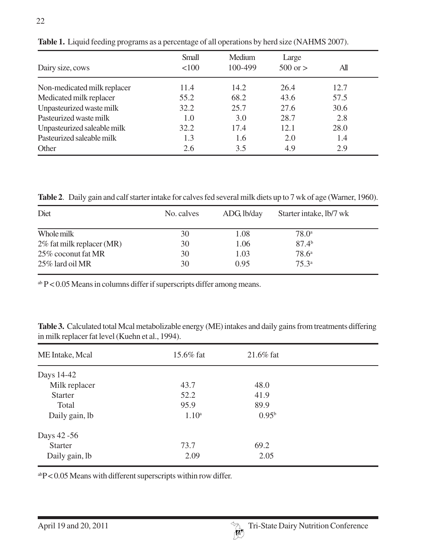| Dairy size, cows            | Small<br>100 | Medium<br>100-499 | Large<br>$500 \text{ or } >$ | All  |  |
|-----------------------------|--------------|-------------------|------------------------------|------|--|
| Non-medicated milk replacer | 11.4         | 14.2              | 26.4                         | 12.7 |  |
| Medicated milk replacer     | 55.2         | 68.2              | 43.6                         | 57.5 |  |
| Unpasteurized waste milk    | 32.2         | 25.7              | 27.6                         | 30.6 |  |
| Pasteurized waste milk      | 1.0          | 3.0               | 28.7                         | 2.8  |  |
| Unpasteurized saleable milk | 32.2         | 17.4              | 12.1                         | 28.0 |  |
| Pasteurized saleable milk   | 1.3          | 1.6               | 2.0                          | 1.4  |  |
| Other                       | 2.6          | 3.5               | 4.9                          | 2.9  |  |

**Table 1.** Liquid feeding programs as a percentage of all operations by herd size (NAHMS 2007).

**Table 2**. Daily gain and calf starter intake for calves fed several milk diets up to 7 wk of age (Warner, 1960).

| Diet                         | No. calves | ADG, lb/day | Starter intake, lb/7 wk |  |
|------------------------------|------------|-------------|-------------------------|--|
| Whole milk                   | 30         | 1.08        | 78.0 <sup>a</sup>       |  |
| $2\%$ fat milk replacer (MR) | 30         | 1.06        | 87.4 <sup>b</sup>       |  |
| 25\% coconut fat MR          | 30         | 1.03        | $78.6^{\circ}$          |  |
| 25% lard oil MR              | 30         | 0.95        | $75.3^{\circ}$          |  |

 $a<sub>b</sub>$  P < 0.05 Means in columns differ if superscripts differ among means.

| ME Intake, Mcal | 15.6% fat         | $21.6\%$ fat   |  |
|-----------------|-------------------|----------------|--|
| Days 14-42      |                   |                |  |
| Milk replacer   | 43.7              | 48.0           |  |
| <b>Starter</b>  | 52.2              | 41.9           |  |
| Total           | 95.9              | 89.9           |  |
| Daily gain, lb  | 1.10 <sup>a</sup> | $0.95^{\rm b}$ |  |
| Days 42 - 56    |                   |                |  |
| <b>Starter</b>  | 73.7              | 69.2           |  |
| Daily gain, lb  | 2.09              | 2.05           |  |
|                 |                   |                |  |

**Table 3.** Calculated total Mcal metabolizable energy (ME) intakes and daily gains from treatments differing in milk replacer fat level (Kuehn et al., 1994).

abP < 0.05 Means with different superscripts within row differ.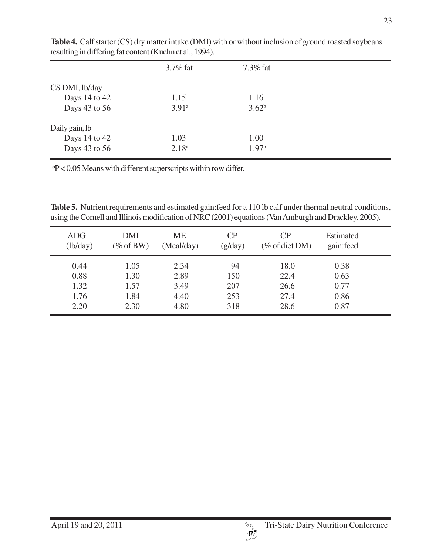|                | $3.7\%$ fat       | $7.3\%$ fat       |  |
|----------------|-------------------|-------------------|--|
| CS DMI, lb/day |                   |                   |  |
| Days 14 to 42  | 1.15              | 1.16              |  |
| Days 43 to 56  | 3.91 <sup>a</sup> | 3.62 <sup>b</sup> |  |
| Daily gain, lb |                   |                   |  |
| Days 14 to 42  | 1.03              | 1.00              |  |
| Days 43 to 56  | $2.18^{a}$        | 1.97 <sup>b</sup> |  |

**Table 4.** Calf starter (CS) dry matter intake (DMI) with or without inclusion of ground roasted soybeans resulting in differing fat content (Kuehn et al., 1994).

abP < 0.05 Means with different superscripts within row differ.

**Table 5.** Nutrient requirements and estimated gain:feed for a 110 lb calf under thermal neutral conditions, using the Cornell and Illinois modification of NRC (2001) equations (Van Amburgh and Drackley, 2005).

| <b>ADG</b> | DMI                  | <b>ME</b>  | CP      | CР                | Estimated  |  |
|------------|----------------------|------------|---------|-------------------|------------|--|
| (lb/day)   | $(\% \text{ of BW})$ | (Mcal/day) | (g/day) | $(\%$ of diet DM) | gain: feed |  |
| 0.44       | 1.05                 | 2.34       | 94      | 18.0              | 0.38       |  |
| 0.88       | 1.30                 | 2.89       | 150     | 22.4              | 0.63       |  |
| 1.32       | 1.57                 | 3.49       | 207     | 26.6              | 0.77       |  |
| 1.76       | 1.84                 | 4.40       | 253     | 27.4              | 0.86       |  |
| 2.20       | 2.30                 | 4.80       | 318     | 28.6              | 0.87       |  |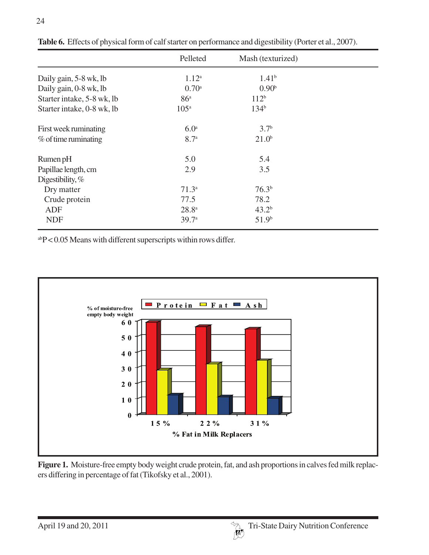|                            | Pelleted            | Mash (texturized) |  |
|----------------------------|---------------------|-------------------|--|
| Daily gain, 5-8 wk, lb     | $1.12^{a}$          | $1.41^{b}$        |  |
| Daily gain, 0-8 wk, lb     | $0.70$ <sup>a</sup> | 0.90 <sup>b</sup> |  |
| Starter intake, 5-8 wk, lb | 86 <sup>a</sup>     | 112 <sup>b</sup>  |  |
| Starter intake, 0-8 wk, lb | 105 <sup>a</sup>    | 134 <sup>b</sup>  |  |
| First week ruminating      | 6.0 <sup>a</sup>    | 3.7 <sup>b</sup>  |  |
| $\%$ of time ruminating    | 8.7 <sup>a</sup>    | $21.0^{\rm b}$    |  |
| Rumen pH                   | 5.0                 | 5.4               |  |
| Papillae length, cm        | 2.9                 | 3.5               |  |
| Digestibility, $%$         |                     |                   |  |
| Dry matter                 | 71.3 <sup>a</sup>   | 76.3 <sup>b</sup> |  |
| Crude protein              | 77.5                | 78.2              |  |
| <b>ADF</b>                 | $28.8^{\rm a}$      | 43.2 <sup>b</sup> |  |
| <b>NDF</b>                 | 39.7 <sup>a</sup>   | 51.9 <sup>b</sup> |  |

**Table 6.** Effects of physical form of calf starter on performance and digestibility (Porter et al., 2007).

abP < 0.05 Means with different superscripts within rows differ.



**Figure 1.** Moisture-free empty body weight crude protein, fat, and ash proportions in calves fed milk replacers differing in percentage of fat (Tikofsky et al., 2001).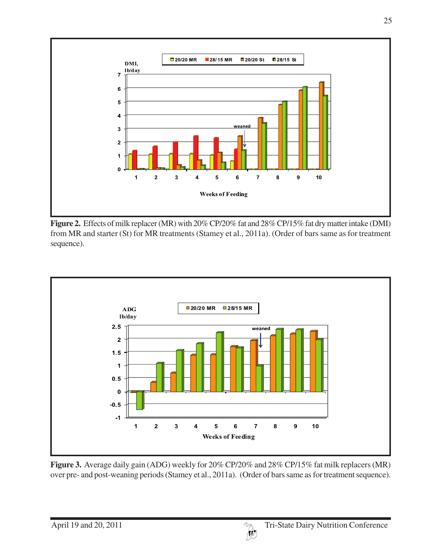

**Figure 2.** Effects of milk replacer (MR) with 20% CP/20% fat and 28% CP/15% fat dry matter intake (DMI) from MR and starter (St) for MR treatments (Stamey et al., 2011a). (Order of bars same as for treatment sequence).



**Figure 3.** Average daily gain (ADG) weekly for 20% CP/20% and 28% CP/15% fat milk replacers (MR) over pre- and post-weaning periods (Stamey et al., 2011a). (Order of bars same as for treatment sequence).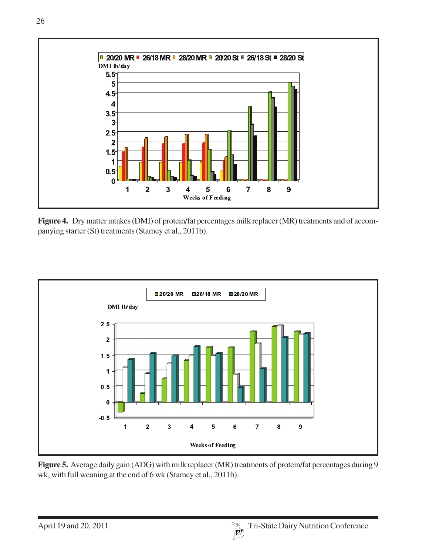

**Figure 4.** Dry matter intakes (DMI) of protein/fat percentages milk replacer (MR) treatments and of accompanying starter (St) treatments (Stamey et al., 2011b).



**Figure 5.** Average daily gain (ADG) with milk replacer (MR) treatments of protein/fat percentages during 9 wk, with full weaning at the end of 6 wk (Stamey et al., 2011b).